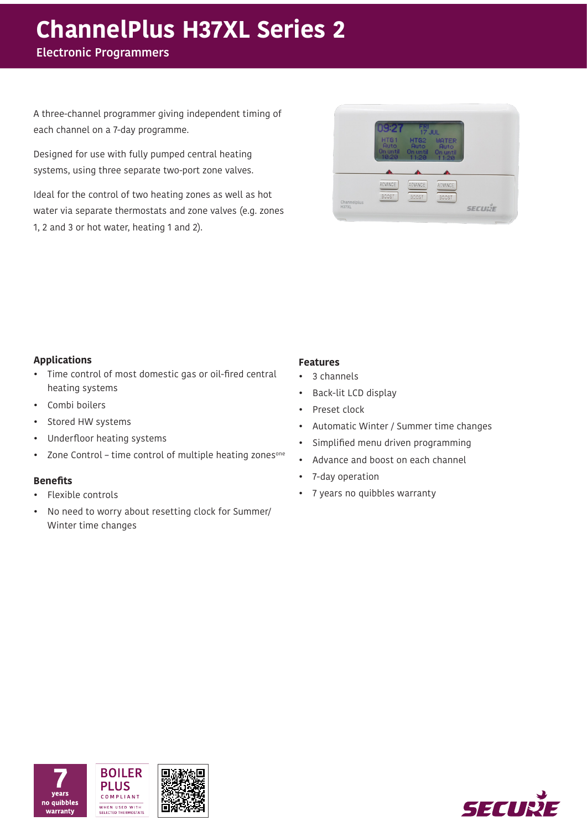# **ChannelPlus H37XL Series 2**

**Electronic Programmers** 

A three-channel programmer giving independent timing of each channel on a 7-day programme.

Designed for use with fully pumped central heating systems, using three separate two-port zone valves.

Ideal for the control of two heating zones as well as hot water via separate thermostats and zone valves (e.g. zones 1, 2 and 3 or hot water, heating 1 and 2).

| HTG <sub>1</sub><br>HTG <sub>2</sub><br><b>WATER</b><br><b>Auto</b><br><b>Auto</b><br><b>Ruto</b><br>On until<br>On until On until<br>10:20<br>11:20<br>11:20 |  |
|---------------------------------------------------------------------------------------------------------------------------------------------------------------|--|
|                                                                                                                                                               |  |
|                                                                                                                                                               |  |
| ADVANCE<br>ADVANCE<br>ADVANCE                                                                                                                                 |  |

# **Applications**

- Time control of most domestic gas or oil-fired central heating systems
- Combi boilers
- Stored HW systems
- Underfloor heating systems
- Zone Control time control of multiple heating zones<sup>one</sup>

## **Benefits**

- Flexible controls
- No need to worry about resetting clock for Summer/ Winter time changes

# **Features**

- 3 channels
- Back-lit LCD display
- Preset clock
- Automatic Winter / Summer time changes
- Simplified menu driven programming
- Advance and boost on each channel
- 7-day operation
- 7 years no quibbles warranty